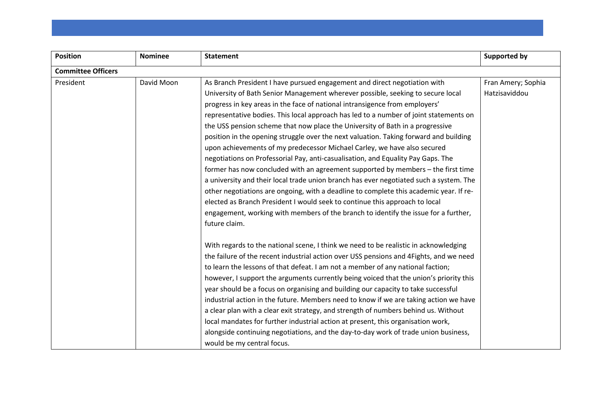| <b>Position</b>           | <b>Nominee</b> | <b>Statement</b>                                                                       | <b>Supported by</b> |
|---------------------------|----------------|----------------------------------------------------------------------------------------|---------------------|
| <b>Committee Officers</b> |                |                                                                                        |                     |
| President                 | David Moon     | As Branch President I have pursued engagement and direct negotiation with              | Fran Amery; Sophia  |
|                           |                | University of Bath Senior Management wherever possible, seeking to secure local        | Hatzisaviddou       |
|                           |                | progress in key areas in the face of national intransigence from employers'            |                     |
|                           |                | representative bodies. This local approach has led to a number of joint statements on  |                     |
|                           |                | the USS pension scheme that now place the University of Bath in a progressive          |                     |
|                           |                | position in the opening struggle over the next valuation. Taking forward and building  |                     |
|                           |                | upon achievements of my predecessor Michael Carley, we have also secured               |                     |
|                           |                | negotiations on Professorial Pay, anti-casualisation, and Equality Pay Gaps. The       |                     |
|                           |                | former has now concluded with an agreement supported by members - the first time       |                     |
|                           |                | a university and their local trade union branch has ever negotiated such a system. The |                     |
|                           |                | other negotiations are ongoing, with a deadline to complete this academic year. If re- |                     |
|                           |                | elected as Branch President I would seek to continue this approach to local            |                     |
|                           |                | engagement, working with members of the branch to identify the issue for a further,    |                     |
|                           |                | future claim.                                                                          |                     |
|                           |                | With regards to the national scene, I think we need to be realistic in acknowledging   |                     |
|                           |                | the failure of the recent industrial action over USS pensions and 4Fights, and we need |                     |
|                           |                | to learn the lessons of that defeat. I am not a member of any national faction;        |                     |
|                           |                | however, I support the arguments currently being voiced that the union's priority this |                     |
|                           |                | year should be a focus on organising and building our capacity to take successful      |                     |
|                           |                | industrial action in the future. Members need to know if we are taking action we have  |                     |
|                           |                | a clear plan with a clear exit strategy, and strength of numbers behind us. Without    |                     |
|                           |                | local mandates for further industrial action at present, this organisation work,       |                     |
|                           |                | alongside continuing negotiations, and the day-to-day work of trade union business,    |                     |
|                           |                | would be my central focus.                                                             |                     |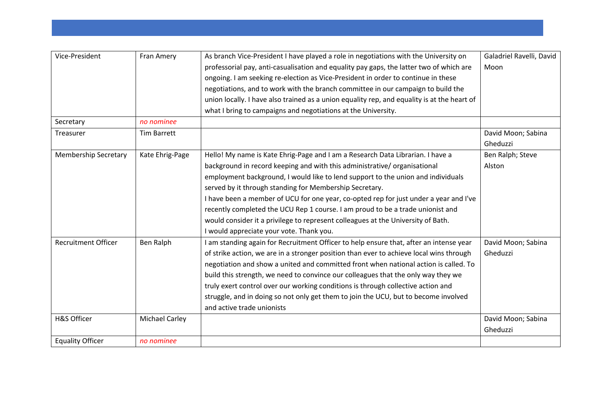| Vice-President              | Fran Amery            | As branch Vice-President I have played a role in negotiations with the University on        | Galadriel Ravelli, David |
|-----------------------------|-----------------------|---------------------------------------------------------------------------------------------|--------------------------|
|                             |                       | professorial pay, anti-casualisation and equality pay gaps, the latter two of which are     | Moon                     |
|                             |                       | ongoing. I am seeking re-election as Vice-President in order to continue in these           |                          |
|                             |                       | negotiations, and to work with the branch committee in our campaign to build the            |                          |
|                             |                       | union locally. I have also trained as a union equality rep, and equality is at the heart of |                          |
|                             |                       | what I bring to campaigns and negotiations at the University.                               |                          |
| Secretary                   | no nominee            |                                                                                             |                          |
| <b>Treasurer</b>            | Tim Barrett           |                                                                                             | David Moon; Sabina       |
|                             |                       |                                                                                             | Gheduzzi                 |
| <b>Membership Secretary</b> | Kate Ehrig-Page       | Hello! My name is Kate Ehrig-Page and I am a Research Data Librarian. I have a              | Ben Ralph; Steve         |
|                             |                       | background in record keeping and with this administrative/organisational                    | Alston                   |
|                             |                       | employment background, I would like to lend support to the union and individuals            |                          |
|                             |                       | served by it through standing for Membership Secretary.                                     |                          |
|                             |                       | I have been a member of UCU for one year, co-opted rep for just under a year and I've       |                          |
|                             |                       | recently completed the UCU Rep 1 course. I am proud to be a trade unionist and              |                          |
|                             |                       | would consider it a privilege to represent colleagues at the University of Bath.            |                          |
|                             |                       | I would appreciate your vote. Thank you.                                                    |                          |
| <b>Recruitment Officer</b>  | Ben Ralph             | I am standing again for Recruitment Officer to help ensure that, after an intense year      | David Moon; Sabina       |
|                             |                       | of strike action, we are in a stronger position than ever to achieve local wins through     | Gheduzzi                 |
|                             |                       | negotiation and show a united and committed front when national action is called. To        |                          |
|                             |                       | build this strength, we need to convince our colleagues that the only way they we           |                          |
|                             |                       | truly exert control over our working conditions is through collective action and            |                          |
|                             |                       | struggle, and in doing so not only get them to join the UCU, but to become involved         |                          |
|                             |                       | and active trade unionists                                                                  |                          |
| H&S Officer                 | <b>Michael Carley</b> |                                                                                             | David Moon; Sabina       |
|                             |                       |                                                                                             | Gheduzzi                 |
| <b>Equality Officer</b>     | no nominee            |                                                                                             |                          |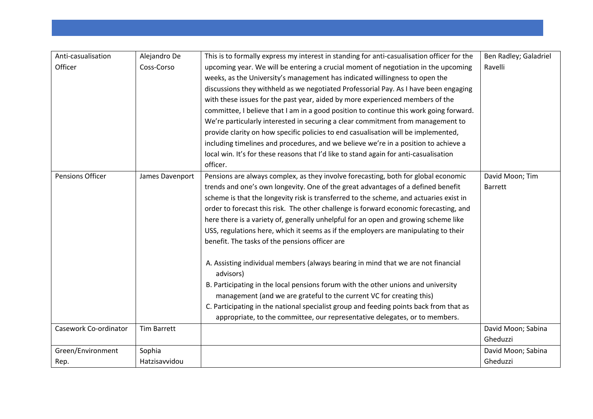| Anti-casualisation      | Alejandro De       | This is to formally express my interest in standing for anti-casualisation officer for the     | Ben Radley; Galadriel |
|-------------------------|--------------------|------------------------------------------------------------------------------------------------|-----------------------|
| Officer                 | Coss-Corso         | upcoming year. We will be entering a crucial moment of negotiation in the upcoming             | Ravelli               |
|                         |                    | weeks, as the University's management has indicated willingness to open the                    |                       |
|                         |                    | discussions they withheld as we negotiated Professorial Pay. As I have been engaging           |                       |
|                         |                    | with these issues for the past year, aided by more experienced members of the                  |                       |
|                         |                    | committee, I believe that I am in a good position to continue this work going forward.         |                       |
|                         |                    | We're particularly interested in securing a clear commitment from management to                |                       |
|                         |                    | provide clarity on how specific policies to end casualisation will be implemented,             |                       |
|                         |                    | including timelines and procedures, and we believe we're in a position to achieve a            |                       |
|                         |                    | local win. It's for these reasons that I'd like to stand again for anti-casualisation          |                       |
|                         |                    | officer.                                                                                       |                       |
| <b>Pensions Officer</b> | James Davenport    | Pensions are always complex, as they involve forecasting, both for global economic             | David Moon; Tim       |
|                         |                    | trends and one's own longevity. One of the great advantages of a defined benefit               | <b>Barrett</b>        |
|                         |                    | scheme is that the longevity risk is transferred to the scheme, and actuaries exist in         |                       |
|                         |                    | order to forecast this risk. The other challenge is forward economic forecasting, and          |                       |
|                         |                    | here there is a variety of, generally unhelpful for an open and growing scheme like            |                       |
|                         |                    | USS, regulations here, which it seems as if the employers are manipulating to their            |                       |
|                         |                    | benefit. The tasks of the pensions officer are                                                 |                       |
|                         |                    | A. Assisting individual members (always bearing in mind that we are not financial<br>advisors) |                       |
|                         |                    | B. Participating in the local pensions forum with the other unions and university              |                       |
|                         |                    | management (and we are grateful to the current VC for creating this)                           |                       |
|                         |                    | C. Participating in the national specialist group and feeding points back from that as         |                       |
|                         |                    | appropriate, to the committee, our representative delegates, or to members.                    |                       |
| Casework Co-ordinator   | <b>Tim Barrett</b> |                                                                                                | David Moon; Sabina    |
|                         |                    |                                                                                                | Gheduzzi              |
| Green/Environment       | Sophia             |                                                                                                | David Moon; Sabina    |
| Rep.                    | Hatzisavvidou      |                                                                                                | Gheduzzi              |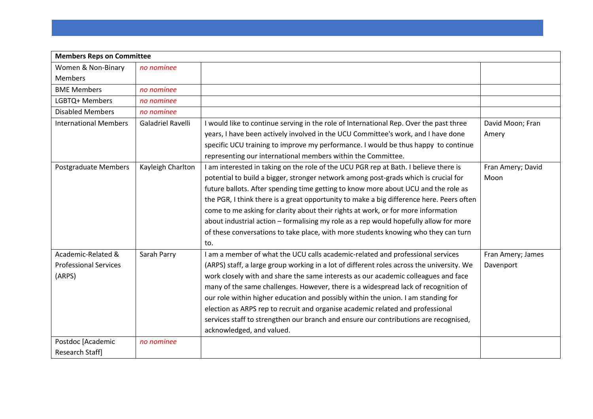| <b>Members Reps on Committee</b> |                   |                                                                                           |                   |
|----------------------------------|-------------------|-------------------------------------------------------------------------------------------|-------------------|
| Women & Non-Binary               | no nominee        |                                                                                           |                   |
| <b>Members</b>                   |                   |                                                                                           |                   |
| <b>BME Members</b>               | no nominee        |                                                                                           |                   |
| LGBTQ+ Members                   | no nominee        |                                                                                           |                   |
| <b>Disabled Members</b>          | no nominee        |                                                                                           |                   |
| <b>International Members</b>     | Galadriel Ravelli | I would like to continue serving in the role of International Rep. Over the past three    | David Moon; Fran  |
|                                  |                   | years, I have been actively involved in the UCU Committee's work, and I have done         | Amery             |
|                                  |                   | specific UCU training to improve my performance. I would be thus happy to continue        |                   |
|                                  |                   | representing our international members within the Committee.                              |                   |
| Postgraduate Members             | Kayleigh Charlton | I am interested in taking on the role of the UCU PGR rep at Bath. I believe there is      | Fran Amery; David |
|                                  |                   | potential to build a bigger, stronger network among post-grads which is crucial for       | Moon              |
|                                  |                   | future ballots. After spending time getting to know more about UCU and the role as        |                   |
|                                  |                   | the PGR, I think there is a great opportunity to make a big difference here. Peers often  |                   |
|                                  |                   | come to me asking for clarity about their rights at work, or for more information         |                   |
|                                  |                   | about industrial action - formalising my role as a rep would hopefully allow for more     |                   |
|                                  |                   | of these conversations to take place, with more students knowing who they can turn        |                   |
|                                  |                   | to.                                                                                       |                   |
| Academic-Related &               | Sarah Parry       | I am a member of what the UCU calls academic-related and professional services            | Fran Amery; James |
| <b>Professional Services</b>     |                   | (ARPS) staff, a large group working in a lot of different roles across the university. We | Davenport         |
| (ARPS)                           |                   | work closely with and share the same interests as our academic colleagues and face        |                   |
|                                  |                   | many of the same challenges. However, there is a widespread lack of recognition of        |                   |
|                                  |                   | our role within higher education and possibly within the union. I am standing for         |                   |
|                                  |                   | election as ARPS rep to recruit and organise academic related and professional            |                   |
|                                  |                   | services staff to strengthen our branch and ensure our contributions are recognised,      |                   |
|                                  |                   | acknowledged, and valued.                                                                 |                   |
| Postdoc [Academic                | no nominee        |                                                                                           |                   |
| Research Staff]                  |                   |                                                                                           |                   |